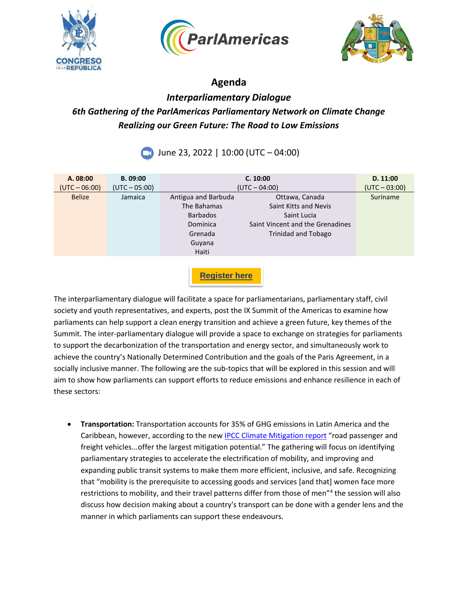





### **Agenda**

## *Interparliamentary Dialogue 6th Gathering of the ParlAmericas Parliamentary Network on Climate Change Realizing our Green Future: The Road to Low Emissions*

# **June 23, 2022 | 10:00 (UTC – 04:00)**

| A. 08:00<br>$(UTC - 06:00)$ | B. 09:00<br>$(UTC - 05:00)$ | C. 10:00<br>$(UTC - 04:00)$                                                                     |                                                                                                                   | D. 11:00<br>$(UTC - 03:00)$ |
|-----------------------------|-----------------------------|-------------------------------------------------------------------------------------------------|-------------------------------------------------------------------------------------------------------------------|-----------------------------|
| <b>Belize</b>               | Jamaica                     | Antigua and Barbuda<br>The Bahamas<br><b>Barbados</b><br>Dominica<br>Grenada<br>Guyana<br>Haiti | Ottawa, Canada<br>Saint Kitts and Nevis<br>Saint Lucia<br>Saint Vincent and the Grenadines<br>Trinidad and Tobago | Suriname                    |
|                             |                             |                                                                                                 |                                                                                                                   |                             |

**[Register here](https://survey.zohopublic.com/zs/ZSCNyw)**

The interparliamentary dialogue will facilitate a space for parliamentarians, parliamentary staff, civil society and youth representatives, and experts, post the IX Summit of the Americas to examine how parliaments can help support a clean energy transition and achieve a green future, key themes of the Summit. The inter-parliamentary dialogue will provide a space to exchange on strategies for parliaments to support the decarbonization of the transportation and energy sector, and simultaneously work to achieve the country's Nationally Determined Contribution and the goals of the Paris Agreement, in a socially inclusive manner. The following are the sub-topics that will be explored in this session and will aim to show how parliaments can support efforts to reduce emissions and enhance resilience in each of these sectors:

• **Transportation:** Transportation accounts for 35% of GHG emissions in Latin America and the Caribbean, however, according to the new [IPCC Climate Mitigation report](https://report.ipcc.ch/ar6wg3/pdf/IPCC_AR6_WGIII_FinalDraft_FullReport.pdf) "road passenger and freight vehicles...offer the largest mitigation potential." The gathering will focus on identifying parliamentary strategies to accelerate the electrification of mobility, and improving and expanding public transit systems to make them more efficient, inclusive, and safe. Recognizing that "mobility is the prerequisite to accessing goods and services [and that] women face more restrictions to mobility, and their travel patterns differ from those of men"<sup>4</sup> the session will also discuss how decision making about a country's transport can be done with a gender lens and the manner in which parliaments can support these endeavours.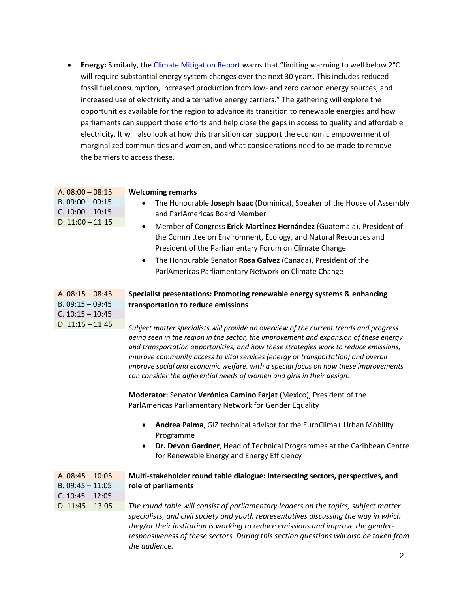• **Energy:** Similarly, th[e Climate Mitigation Report](https://report.ipcc.ch/ar6wg3/pdf/IPCC_AR6_WGIII_FinalDraft_FullReport.pdf#page=116) warns that "limiting warming to well below 2°C will require substantial energy system changes over the next 30 years. This includes reduced fossil fuel consumption, increased production from low- and zero carbon energy sources, and increased use of electricity and alternative energy carriers." The gathering will explore the opportunities available for the region to advance its transition to renewable energies and how parliaments can support those efforts and help close the gaps in access to quality and affordable electricity. It will also look at how this transition can support the economic empowerment of marginalized communities and women, and what considerations need to be made to remove the barriers to access these.

| A. $08:00 - 08:15$ | <b>Welcoming remarks</b>                                                 |
|--------------------|--------------------------------------------------------------------------|
| $B. 09:00 - 09:15$ | The Honourable Joseph Isaac (Dominica), Speaker of the House of Assembly |
| $C. 10:00 - 10:15$ | and ParlAmericas Board Member                                            |
| D. $11:00 - 11:15$ | Member of Congress Erick Martínez Hernández (Guatemala), President of    |
|                    | the Committee on Environment, Ecology, and Natural Resources and         |

• The Honourable Senator **Rosa Galvez** (Canada), President of the ParlAmericas Parliamentary Network on Climate Change

President of the Parliamentary Forum on Climate Change

| A. $08:15 - 08:45$ |  |
|--------------------|--|
| $B. 09:15 - 09:45$ |  |
| $C. 10:15 - 10:45$ |  |
| D. $11:15 - 11:45$ |  |

#### A. 08:15 – 08:45 **Specialist presentations: Promoting renewable energy systems & enhancing transportation to reduce emissions**

*Subject matter specialists will provide an overview of the current trends and progress being seen in the region in the sector, the improvement and expansion of these energy and transportation opportunities, and how these strategies work to reduce emissions, improve community access to vital services (energy or transportation) and overall improve social and economic welfare, with a special focus on how these improvements can consider the differential needs of women and girls in their design.*

**Moderator:** Senator **Verónica Camino Farjat** (Mexico), President of the ParlAmericas Parliamentary Network for Gender Equality

- **Andrea Palma**, GIZ technical advisor for the EuroClima+ Urban Mobility Programme
- **Dr. Devon Gardner**, Head of Technical Programmes at the Caribbean Centre for Renewable Energy and Energy Efficiency

| A. $08:45 - 10:05$ | Multi-stakeholder round table dialogue: Intersecting sectors, perspectives, and      |
|--------------------|--------------------------------------------------------------------------------------|
| B. $09:45 - 11:05$ | role of parliaments                                                                  |
| C. $10:45 - 12:05$ |                                                                                      |
| D. $11:45 - 13:05$ | The round table will consist of parliamentary leaders on the topics, subject matter  |
|                    | specialists, and civil society and youth representatives discussing the way in which |

*they/or their institution is working to reduce emissions and improve the genderresponsiveness of these sectors. During this section questions will also be taken from the audience.*